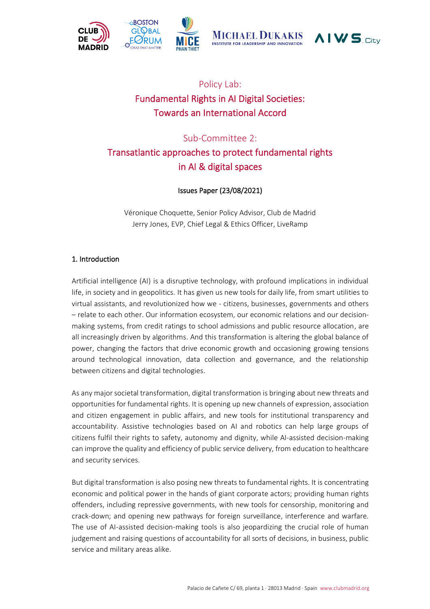





## Policy Lab: Fundamental Rights in AI Digital Societies: Towards an International Accord

### Sub-Committee 2:

# Transatlantic approaches to protect fundamental rights in AI & digital spaces

### Issues Paper (23/08/2021)

Véronique Choquette, Senior Policy Advisor, Club de Madrid Jerry Jones, EVP, Chief Legal & Ethics Officer, LiveRamp

#### 1. Introduction

Artificial intelligence (AI) is a disruptive technology, with profound implications in individual life, in society and in geopolitics. It has given us new tools for daily life, from smart utilities to virtual assistants, and revolutionized how we - citizens, businesses, governments and others – relate to each other. Our information ecosystem, our economic relations and our decisionmaking systems, from credit ratings to school admissions and public resource allocation, are all increasingly driven by algorithms. And this transformation is altering the global balance of power, changing the factors that drive economic growth and occasioning growing tensions around technological innovation, data collection and governance, and the relationship between citizens and digital technologies.

As any major societal transformation, digital transformation is bringing about new threats and opportunities for fundamental rights. It is opening up new channels of expression, association and citizen engagement in public affairs, and new tools for institutional transparency and accountability. Assistive technologies based on AI and robotics can help large groups of citizens fulfil their rights to safety, autonomy and dignity, while AI-assisted decision-making can improve the quality and efficiency of public service delivery, from education to healthcare and security services.

But digital transformation is also posing new threats to fundamental rights. It is concentrating economic and political power in the hands of giant corporate actors; providing human rights offenders, including repressive governments, with new tools for censorship, monitoring and crack-down; and opening new pathways for foreign surveillance, interference and warfare. The use of AI-assisted decision-making tools is also jeopardizing the crucial role of human judgement and raising questions of accountability for all sorts of decisions, in business, public service and military areas alike.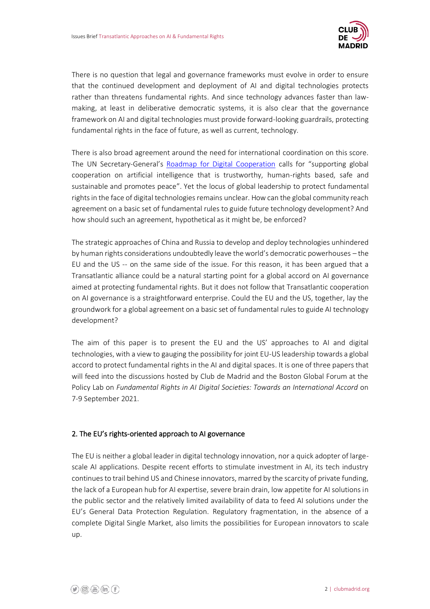

There is no question that legal and governance frameworks must evolve in order to ensure that the continued development and deployment of AI and digital technologies protects rather than threatens fundamental rights. And since technology advances faster than lawmaking, at least in deliberative democratic systems, it is also clear that the governance framework on AI and digital technologies must provide forward-looking guardrails, protecting fundamental rights in the face of future, as well as current, technology.

There is also broad agreement around the need for international coordination on this score. The UN Secretary-General's [Roadmap for Digital Cooperation](https://www.un.org/en/content/digital-cooperation-roadmap/) calls for "supporting global cooperation on artificial intelligence that is trustworthy, human-rights based, safe and sustainable and promotes peace". Yet the locus of global leadership to protect fundamental rights in the face of digital technologies remains unclear. How can the global community reach agreement on a basic set of fundamental rules to guide future technology development? And how should such an agreement, hypothetical as it might be, be enforced?

The strategic approaches of China and Russia to develop and deploy technologies unhindered by human rights considerations undoubtedly leave the world's democratic powerhouses – the EU and the US -- on the same side of the issue. For this reason, it has been argued that a Transatlantic alliance could be a natural starting point for a global accord on AI governance aimed at protecting fundamental rights. But it does not follow that Transatlantic cooperation on AI governance is a straightforward enterprise. Could the EU and the US, together, lay the groundwork for a global agreement on a basic set of fundamental rules to guide AI technology development?

The aim of this paper is to present the EU and the US' approaches to AI and digital technologies, with a view to gauging the possibility for joint EU-US leadership towards a global accord to protect fundamental rights in the AI and digital spaces. It is one of three papers that will feed into the discussions hosted by Club de Madrid and the Boston Global Forum at the Policy Lab on *Fundamental Rights in AI Digital Societies: Towards an International Accord* on 7-9 September 2021.

#### 2. The EU's rights-oriented approach to AI governance

The EU is neither a global leader in digital technology innovation, nor a quick adopter of largescale AI applications. Despite recent efforts to stimulate investment in AI, its tech industry continues to trail behind US and Chinese innovators, marred by the scarcity of private funding, the lack of a European hub for AI expertise, severe brain drain, low appetite for AI solutions in the public sector and the relatively limited availability of data to feed AI solutions under the EU's General Data Protection Regulation. Regulatory fragmentation, in the absence of a complete Digital Single Market, also limits the possibilities for European innovators to scale up.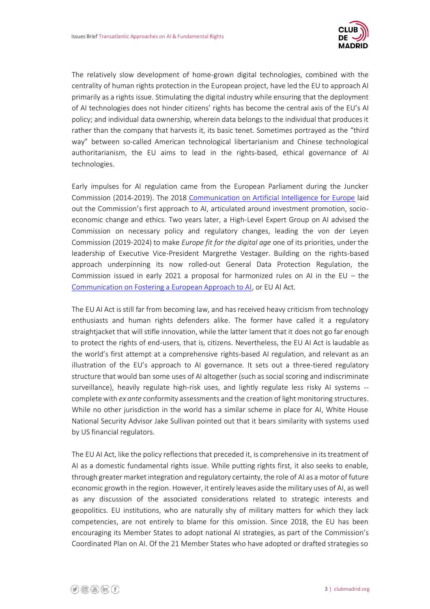

The relatively slow development of home-grown digital technologies, combined with the centrality of human rights protection in the European project, have led the EU to approach AI primarily as a rights issue. Stimulating the digital industry while ensuring that the deployment of AI technologies does not hinder citizens' rights has become the central axis of the EU's AI policy; and individual data ownership, wherein data belongs to the individual that produces it rather than the company that harvests it, its basic tenet. Sometimes portrayed as the "third way" between so-called American technological libertarianism and Chinese technological authoritarianism, the EU aims to lead in the rights-based, ethical governance of AI technologies.

Early impulses for AI regulation came from the European Parliament during the Juncker Commission (2014-2019). The 2018 [Communication on Artificial Intelligence for Europe](https://digital-strategy.ec.europa.eu/en/library/communication-artificial-intelligence-europe) laid out the Commission's first approach to AI, articulated around investment promotion, socioeconomic change and ethics. Two years later, a High-Level Expert Group on AI advised the Commission on necessary policy and regulatory changes, leading the von der Leyen Commission (2019-2024) to make *Europe fit for the digital age* one of its priorities, under the leadership of Executive Vice-President Margrethe Vestager. Building on the rights-based approach underpinning its now rolled-out General Data Protection Regulation, the Commission issued in early 2021 a proposal for harmonized rules on AI in the EU – the [Communication on Fostering a European Approach to AI,](https://digital-strategy.ec.europa.eu/en/library/communication-fostering-european-approach-artificial-intelligence) or EU AI Act.

The EU AI Act is still far from becoming law, and has received heavy criticism from technology enthusiasts and human rights defenders alike. The former have called it a regulatory straightjacket that will stifle innovation, while the latter lament that it does not go far enough to protect the rights of end-users, that is, citizens. Nevertheless, the EU AI Act is laudable as the world's first attempt at a comprehensive rights-based AI regulation, and relevant as an illustration of the EU's approach to AI governance. It sets out a three-tiered regulatory structure that would ban some uses of AI altogether (such as social scoring and indiscriminate surveillance), heavily regulate high-risk uses, and lightly regulate less risky AI systems - complete with *ex ante* conformity assessments and the creation of light monitoring structures. While no other jurisdiction in the world has a similar scheme in place for AI, White House National Security Advisor Jake Sullivan pointed out that it bears similarity with systems used by US financial regulators.

The EU AI Act, like the policy reflections that preceded it, is comprehensive in its treatment of AI as a domestic fundamental rights issue. While putting rights first, it also seeks to enable, through greater market integration and regulatory certainty, the role of AI as a motor of future economic growth in the region. However, it entirely leaves aside the military uses of AI, as well as any discussion of the associated considerations related to strategic interests and geopolitics. EU institutions, who are naturally shy of military matters for which they lack competencies, are not entirely to blame for this omission. Since 2018, the EU has been encouraging its Member States to adopt national AI strategies, as part of the Commission's Coordinated Plan on AI. Of the 21 Member States who have adopted or drafted strategies so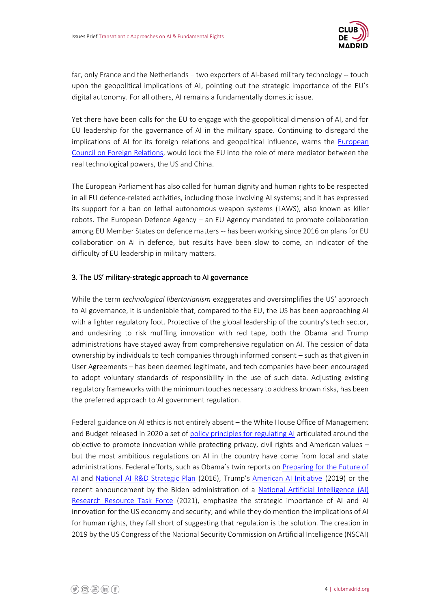

far, only France and the Netherlands – two exporters of AI-based military technology -- touch upon the geopolitical implications of AI, pointing out the strategic importance of the EU's digital autonomy. For all others, AI remains a fundamentally domestic issue.

Yet there have been calls for the EU to engage with the geopolitical dimension of AI, and for EU leadership for the governance of AI in the military space. Continuing to disregard the implications of AI for its foreign relations and geopolitical influence, warns the [European](https://ecfr.eu/publication/artificial-divide-how-europe-and-america-could-clash-over-ai/)  [Council on Foreign Relations,](https://ecfr.eu/publication/artificial-divide-how-europe-and-america-could-clash-over-ai/) would lock the EU into the role of mere mediator between the real technological powers, the US and China.

The European Parliament has also called for human dignity and human rights to be respected in all EU defence-related activities, including those involving AI systems; and it has expressed its support for a ban on lethal autonomous weapon systems (LAWS), also known as killer robots. The European Defence Agency – an EU Agency mandated to promote collaboration among EU Member States on defence matters -- has been working since 2016 on plans for EU collaboration on AI in defence, but results have been slow to come, an indicator of the difficulty of EU leadership in military matters.

#### 3. The US' military-strategic approach to AI governance

While the term *technological libertarianism* exaggerates and oversimplifies the US' approach to AI governance, it is undeniable that, compared to the EU, the US has been approaching AI with a lighter regulatory foot. Protective of the global leadership of the country's tech sector, and undesiring to risk muffling innovation with red tape, both the Obama and Trump administrations have stayed away from comprehensive regulation on AI. The cession of data ownership by individuals to tech companies through informed consent – such as that given in User Agreements – has been deemed legitimate, and tech companies have been encouraged to adopt voluntary standards of responsibility in the use of such data. Adjusting existing regulatory frameworks with the minimum touches necessary to address known risks, has been the preferred approach to AI government regulation.

Federal guidance on AI ethics is not entirely absent – the White House Office of Management and Budget released in 2020 a set of [policy principles for regulating AI](https://www.google.com/url?sa=t&rct=j&q=&esrc=s&source=web&cd=&ved=2ahUKEwi_7dH2uI3yAhVhQkEAHUPIDH0QFjAAegQIBhAD&url=https%3A%2F%2Fwww.whitehouse.gov%2Fwp-content%2Fuploads%2F2020%2F01%2FDraft-OMB-Memo-on-Regulation-of-AI-1-7-19.pdf%3Futm_source%3Dmorning_brew&usg=AOvVaw1ZjebCYsipt6Pv3doHXVXV) articulated around the objective to promote innovation while protecting privacy, civil rights and American values – but the most ambitious regulations on AI in the country have come from local and state administrations. Federal efforts, such as Obama's twin reports on [Preparing for the Future of](https://obamawhitehouse.archives.gov/sites/default/files/whitehouse_files/microsites/ostp/NSTC/preparing_for_the_future_of_ai.pdf)  [AI](https://obamawhitehouse.archives.gov/sites/default/files/whitehouse_files/microsites/ostp/NSTC/preparing_for_the_future_of_ai.pdf) and [National AI R&D Strategic Plan](https://www.google.com/url?sa=t&rct=j&q=&esrc=s&source=web&cd=&ved=2ahUKEwiW_NGgu43yAhWGEWMBHQJlC7AQFjAAegQIBRAD&url=https%3A%2F%2Fwww.nitrd.gov%2Fpubs%2Fnational_ai_rd_strategic_plan.pdf&usg=AOvVaw1AWX-FH4DA3ygPh-rgnPG4) (2016), Trump's [American AI Initiative](https://trumpwhitehouse.archives.gov/ai/) (2019) or the recent announcement by the Biden administration of a [National Artificial Intelligence \(AI\)](https://www.whitehouse.gov/ostp/news-updates/2021/06/10/the-biden-administration-launches-the-national-artificial-intelligence-research-resource-task-force/)  [Research Resource Task Force](https://www.whitehouse.gov/ostp/news-updates/2021/06/10/the-biden-administration-launches-the-national-artificial-intelligence-research-resource-task-force/) (2021), emphasize the strategic importance of AI and AI innovation for the US economy and security; and while they do mention the implications of AI for human rights, they fall short of suggesting that regulation is the solution. The creation in 2019 by the US Congress of the National Security Commission on Artificial Intelligence (NSCAI)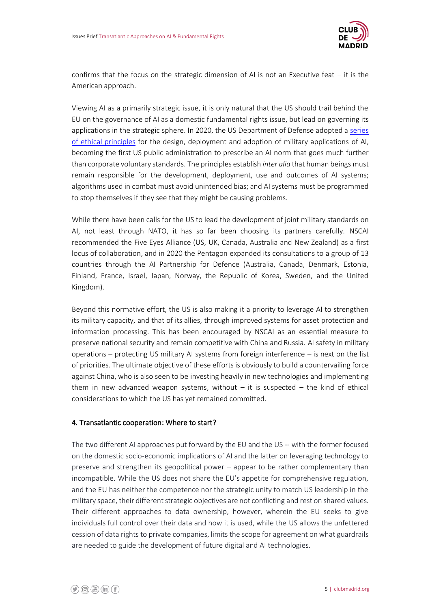

confirms that the focus on the strategic dimension of AI is not an Executive feat – it is the American approach.

Viewing AI as a primarily strategic issue, it is only natural that the US should trail behind the EU on the governance of AI as a domestic fundamental rights issue, but lead on governing its applications in the strategic sphere. In 2020, the US Department of Defense adopted a [series](https://www.defense.gov/Newsroom/Releases/Release/Article/2091996/dod-adopts-ethical-principles-for-artificial-intelligence/)  [of ethical principles](https://www.defense.gov/Newsroom/Releases/Release/Article/2091996/dod-adopts-ethical-principles-for-artificial-intelligence/) for the design, deployment and adoption of military applications of AI, becoming the first US public administration to prescribe an AI norm that goes much further than corporate voluntary standards. The principles establish *inter alia* that human beings must remain responsible for the development, deployment, use and outcomes of AI systems; algorithms used in combat must avoid unintended bias; and AI systems must be programmed to stop themselves if they see that they might be causing problems.

While there have been calls for the US to lead the development of joint military standards on AI, not least through NATO, it has so far been choosing its partners carefully. NSCAI recommended the Five Eyes Alliance (US, UK, Canada, Australia and New Zealand) as a first locus of collaboration, and in 2020 the Pentagon expanded its consultations to a group of 13 countries through the AI Partnership for Defence (Australia, Canada, Denmark, Estonia, Finland, France, Israel, Japan, Norway, the Republic of Korea, Sweden, and the United Kingdom).

Beyond this normative effort, the US is also making it a priority to leverage AI to strengthen its military capacity, and that of its allies, through improved systems for asset protection and information processing. This has been encouraged by NSCAI as an essential measure to preserve national security and remain competitive with China and Russia. AI safety in military operations – protecting US military AI systems from foreign interference – is next on the list of priorities. The ultimate objective of these efforts is obviously to build a countervailing force against China, who is also seen to be investing heavily in new technologies and implementing them in new advanced weapon systems, without  $-$  it is suspected  $-$  the kind of ethical considerations to which the US has yet remained committed.

#### 4. Transatlantic cooperation: Where to start?

The two different AI approaches put forward by the EU and the US -- with the former focused on the domestic socio-economic implications of AI and the latter on leveraging technology to preserve and strengthen its geopolitical power – appear to be rather complementary than incompatible. While the US does not share the EU's appetite for comprehensive regulation, and the EU has neither the competence nor the strategic unity to match US leadership in the military space, their different strategic objectives are not conflicting and rest on shared values. Their different approaches to data ownership, however, wherein the EU seeks to give individuals full control over their data and how it is used, while the US allows the unfettered cession of data rights to private companies, limits the scope for agreement on what guardrails are needed to guide the development of future digital and AI technologies.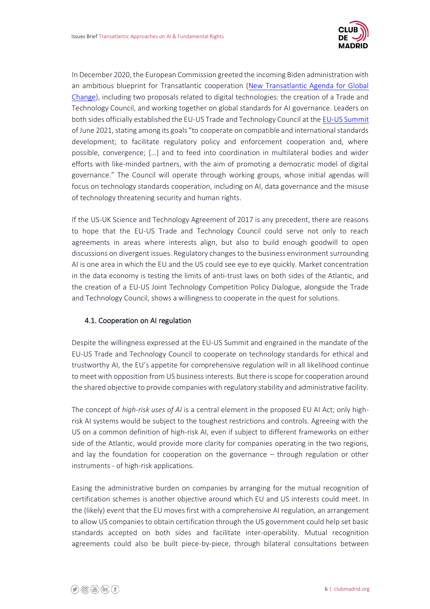

In December 2020, the European Commission greeted the incoming Biden administration with an ambitious blueprint for Transatlantic cooperation [\(New Transatlantic Agenda for Global](https://ec.europa.eu/commission/presscorner/detail/en/ip_20_2279)  [Change\)](https://ec.europa.eu/commission/presscorner/detail/en/ip_20_2279), including two proposals related to digital technologies: the creation of a Trade and Technology Council, and working together on global standards for AI governance. Leaders on both sides officially established the EU-US Trade and Technology Council at th[e EU-US Summit](https://www.consilium.europa.eu/media/50758/eu-us-summit-joint-statement-15-june-final-final.pdf) of June 2021, stating among its goals "to cooperate on compatible and international standards development; to facilitate regulatory policy and enforcement cooperation and, where possible, convergence; […] and to feed into coordination in multilateral bodies and wider efforts with like-minded partners, with the aim of promoting a democratic model of digital governance." The Council will operate through working groups, whose initial agendas will focus on technology standards cooperation, including on AI, data governance and the misuse of technology threatening security and human rights.

If the US-UK Science and Technology Agreement of 2017 is any precedent, there are reasons to hope that the EU-US Trade and Technology Council could serve not only to reach agreements in areas where interests align, but also to build enough goodwill to open discussions on divergent issues. Regulatory changes to the business environment surrounding AI is one area in which the EU and the US could see eye to eye quickly. Market concentration in the data economy is testing the limits of anti-trust laws on both sides of the Atlantic, and the creation of a EU-US Joint Technology Competition Policy Dialogue, alongside the Trade and Technology Council, shows a willingness to cooperate in the quest for solutions.

#### 4.1. Cooperation on AI regulation

Despite the willingness expressed at the EU-US Summit and engrained in the mandate of the EU-US Trade and Technology Council to cooperate on technology standards for ethical and trustworthy AI, the EU's appetite for comprehensive regulation will in all likelihood continue to meet with opposition from US business interests. But there is scope for cooperation around the shared objective to provide companies with regulatory stability and administrative facility.

The concept of *high-risk uses of AI* is a central element in the proposed EU AI Act; only highrisk AI systems would be subject to the toughest restrictions and controls. Agreeing with the US on a common definition of high-risk AI, even if subject to different frameworks on either side of the Atlantic, would provide more clarity for companies operating in the two regions, and lay the foundation for cooperation on the governance – through regulation or other instruments - of high-risk applications.

Easing the administrative burden on companies by arranging for the mutual recognition of certification schemes is another objective around which EU and US interests could meet. In the (likely) event that the EU moves first with a comprehensive AI regulation, an arrangement to allow US companies to obtain certification through the US government could help set basic standards accepted on both sides and facilitate inter-operability. Mutual recognition agreements could also be built piece-by-piece, through bilateral consultations between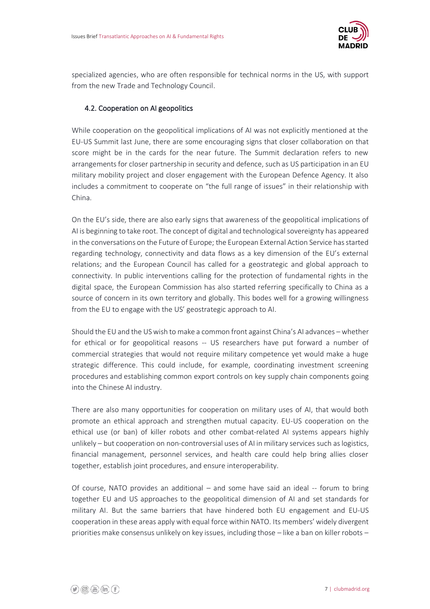

specialized agencies, who are often responsible for technical norms in the US, with support from the new Trade and Technology Council.

#### 4.2. Cooperation on AI geopolitics

While cooperation on the geopolitical implications of AI was not explicitly mentioned at the EU-US Summit last June, there are some encouraging signs that closer collaboration on that score might be in the cards for the near future. The Summit declaration refers to new arrangements for closer partnership in security and defence, such as US participation in an EU military mobility project and closer engagement with the European Defence Agency. It also includes a commitment to cooperate on "the full range of issues" in their relationship with China.

On the EU's side, there are also early signs that awareness of the geopolitical implications of AI is beginning to take root. The concept of digital and technological sovereignty has appeared in the conversations on the Future of Europe; the European External Action Service has started regarding technology, connectivity and data flows as a key dimension of the EU's external relations; and the European Council has called for a geostrategic and global approach to connectivity. In public interventions calling for the protection of fundamental rights in the digital space, the European Commission has also started referring specifically to China as a source of concern in its own territory and globally. This bodes well for a growing willingness from the EU to engage with the US' geostrategic approach to AI.

Should the EU and the US wish to make a common front against China's AI advances – whether for ethical or for geopolitical reasons -- US researchers have put forward a number of commercial strategies that would not require military competence yet would make a huge strategic difference. This could include, for example, coordinating investment screening procedures and establishing common export controls on key supply chain components going into the Chinese AI industry.

There are also many opportunities for cooperation on military uses of AI, that would both promote an ethical approach and strengthen mutual capacity. EU-US cooperation on the ethical use (or ban) of killer robots and other combat-related AI systems appears highly unlikely – but cooperation on non-controversial uses of AI in military services such as logistics, financial management, personnel services, and health care could help bring allies closer together, establish joint procedures, and ensure interoperability.

Of course, NATO provides an additional – and some have said an ideal -- forum to bring together EU and US approaches to the geopolitical dimension of AI and set standards for military AI. But the same barriers that have hindered both EU engagement and EU-US cooperation in these areas apply with equal force within NATO. Its members' widely divergent priorities make consensus unlikely on key issues, including those – like a ban on killer robots –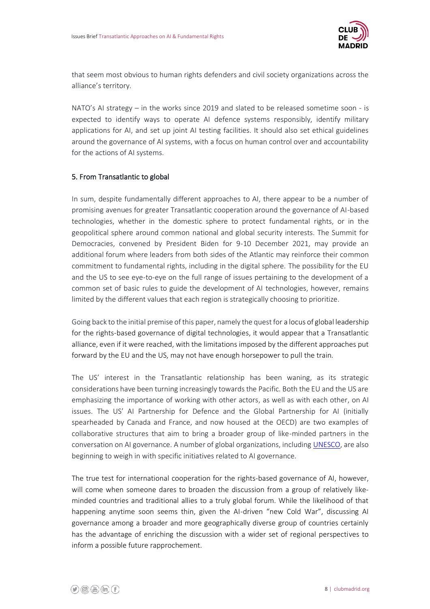

that seem most obvious to human rights defenders and civil society organizations across the alliance's territory.

NATO's AI strategy – in the works since 2019 and slated to be released sometime soon - is expected to identify ways to operate AI defence systems responsibly, identify military applications for AI, and set up joint AI testing facilities. It should also set ethical guidelines around the governance of AI systems, with a focus on human control over and accountability for the actions of AI systems.

#### 5. From Transatlantic to global

In sum, despite fundamentally different approaches to AI, there appear to be a number of promising avenues for greater Transatlantic cooperation around the governance of AI-based technologies, whether in the domestic sphere to protect fundamental rights, or in the geopolitical sphere around common national and global security interests. The Summit for Democracies, convened by President Biden for 9-10 December 2021, may provide an additional forum where leaders from both sides of the Atlantic may reinforce their common commitment to fundamental rights, including in the digital sphere. The possibility for the EU and the US to see eye-to-eye on the full range of issues pertaining to the development of a common set of basic rules to guide the development of AI technologies, however, remains limited by the different values that each region is strategically choosing to prioritize.

Going back to the initial premise of this paper, namely the quest for a locus of global leadership for the rights-based governance of digital technologies, it would appear that a Transatlantic alliance, even if it were reached, with the limitations imposed by the different approaches put forward by the EU and the US, may not have enough horsepower to pull the train.

The US' interest in the Transatlantic relationship has been waning, as its strategic considerations have been turning increasingly towards the Pacific. Both the EU and the US are emphasizing the importance of working with other actors, as well as with each other, on AI issues. The US' AI Partnership for Defence and the Global Partnership for AI (initially spearheaded by Canada and France, and now housed at the OECD) are two examples of collaborative structures that aim to bring a broader group of like-minded partners in the conversation on AI governance. A number of global organizations, including [UNESCO,](https://en.unesco.org/artificial-intelligence/ethics) are also beginning to weigh in with specific initiatives related to AI governance.

The true test for international cooperation for the rights-based governance of AI, however, will come when someone dares to broaden the discussion from a group of relatively likeminded countries and traditional allies to a truly global forum. While the likelihood of that happening anytime soon seems thin, given the AI-driven "new Cold War", discussing AI governance among a broader and more geographically diverse group of countries certainly has the advantage of enriching the discussion with a wider set of regional perspectives to inform a possible future rapprochement.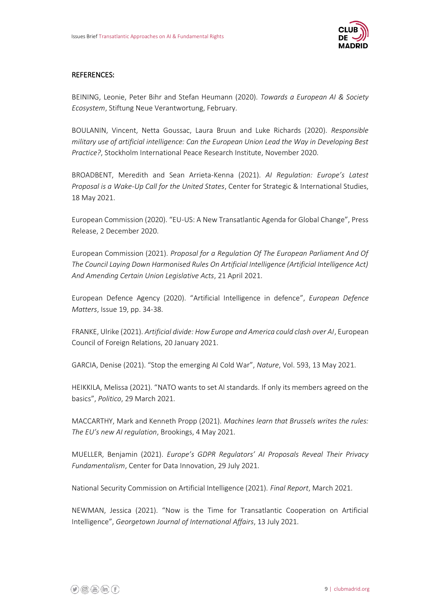

#### REFERENCES:

BEINING, Leonie, Peter Bihr and Stefan Heumann (2020). *Towards a European AI & Society Ecosystem*, Stiftung Neue Verantwortung, February.

BOULANIN, Vincent, Netta Goussac, Laura Bruun and Luke Richards (2020). *Responsible military use of artificial intelligence: Can the European Union Lead the Way in Developing Best Practice?*, Stockholm International Peace Research Institute, November 2020.

BROADBENT, Meredith and Sean Arrieta-Kenna (2021). *AI Regulation: Europe's Latest Proposal is a Wake-Up Call for the United States*, Center for Strategic & International Studies, 18 May 2021.

European Commission (2020). "EU-US: A New Transatlantic Agenda for Global Change", Press Release, 2 December 2020.

European Commission (2021). *Proposal for a Regulation Of The European Parliament And Of The Council Laying Down Harmonised Rules On Artificial Intelligence (Artificial Intelligence Act) And Amending Certain Union Legislative Acts*, 21 April 2021.

European Defence Agency (2020). "Artificial Intelligence in defence", *European Defence Matters*, Issue 19, pp. 34-38.

FRANKE, Ulrike (2021). *Artificial divide: How Europe and America could clash over AI*, European Council of Foreign Relations, 20 January 2021.

GARCIA, Denise (2021). "Stop the emerging AI Cold War", *Nature*, Vol. 593, 13 May 2021.

HEIKKILA, Melissa (2021). "NATO wants to set AI standards. If only its members agreed on the basics", *Politico*, 29 March 2021.

MACCARTHY, Mark and Kenneth Propp (2021). *Machines learn that Brussels writes the rules: The EU's new AI regulation*, Brookings, 4 May 2021.

MUELLER, Benjamin (2021). *Europe's GDPR Regulators' AI Proposals Reveal Their Privacy Fundamentalism*, Center for Data Innovation, 29 July 2021.

National Security Commission on Artificial Intelligence (2021). *Final Report*, March 2021.

NEWMAN, Jessica (2021). "Now is the Time for Transatlantic Cooperation on Artificial Intelligence", *Georgetown Journal of International Affairs*, 13 July 2021.